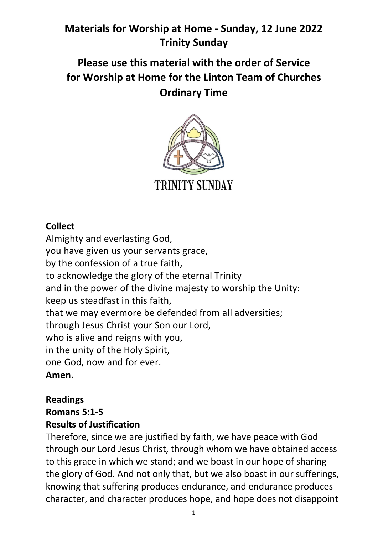# **Please use this material with the order of Service for Worship at Home for the Linton Team of Churches Ordinary Time**



### **Collect**

Almighty and everlasting God, you have given us your servants grace, by the confession of a true faith, to acknowledge the glory of the eternal Trinity and in the power of the divine majesty to worship the Unity: keep us steadfast in this faith, that we may evermore be defended from all adversities; through Jesus Christ your Son our Lord, who is alive and reigns with you, in the unity of the Holy Spirit, one God, now and for ever. **Amen.**

# **Readings Romans 5:1-5**

### **Results of Justification**

Therefore, since we are justified by faith, we have peace with God through our Lord Jesus Christ, through whom we have obtained access to this grace in which we stand; and we boast in our hope of sharing the glory of God. And not only that, but we also boast in our sufferings, knowing that suffering produces endurance, and endurance produces character, and character produces hope, and hope does not disappoint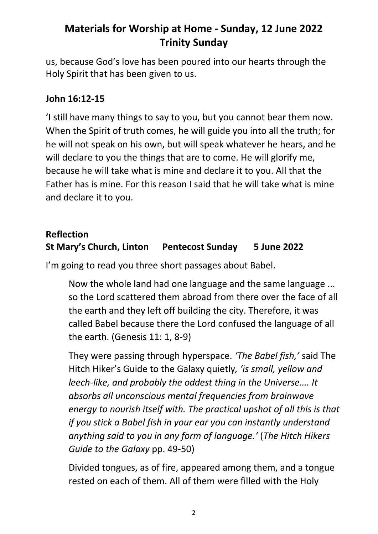us, because God's love has been poured into our hearts through the Holy Spirit that has been given to us.

#### **John 16:12-15**

'I still have many things to say to you, but you cannot bear them now. When the Spirit of truth comes, he will guide you into all the truth; for he will not speak on his own, but will speak whatever he hears, and he will declare to you the things that are to come. He will glorify me, because he will take what is mine and declare it to you. All that the Father has is mine. For this reason I said that he will take what is mine and declare it to you.

### **Reflection St Mary's Church, Linton Pentecost Sunday 5 June 2022**

I'm going to read you three short passages about Babel.

Now the whole land had one language and the same language ... so the Lord scattered them abroad from there over the face of all the earth and they left off building the city. Therefore, it was called Babel because there the Lord confused the language of all the earth. (Genesis 11: 1, 8-9)

They were passing through hyperspace. *'The Babel fish,'* said The Hitch Hiker's Guide to the Galaxy quietly*, 'is small, yellow and leech-like, and probably the oddest thing in the Universe…. It absorbs all unconscious mental frequencies from brainwave energy to nourish itself with. The practical upshot of all this is that if you stick a Babel fish in your ear you can instantly understand anything said to you in any form of language.'* (*The Hitch Hikers Guide to the Galaxy* pp. 49-50)

Divided tongues, as of fire, appeared among them, and a tongue rested on each of them. All of them were filled with the Holy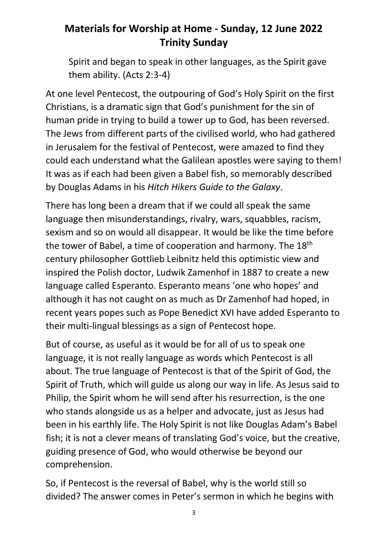Spirit and began to speak in other languages, as the Spirit gave them ability. (Acts 2:3-4)

At one level Pentecost, the outpouring of God's Holy Spirit on the first Christians, is a dramatic sign that God's punishment for the sin of human pride in trying to build a tower up to God, has been reversed. The Jews from different parts of the civilised world, who had gathered in Jerusalem for the festival of Pentecost, were amazed to find they could each understand what the Galilean apostles were saying to them! It was as if each had been given a Babel fish, so memorably described by Douglas Adams in his *Hitch Hikers Guide to the Galaxy*.

There has long been a dream that if we could all speak the same language then misunderstandings, rivalry, wars, squabbles, racism, sexism and so on would all disappear. It would be like the time before the tower of Babel, a time of cooperation and harmony. The 18<sup>th</sup> century philosopher Gottlieb Leibnitz held this optimistic view and inspired the Polish doctor, Ludwik Zamenhof in 1887 to create a new language called Esperanto. Esperanto means 'one who hopes' and although it has not caught on as much as Dr Zamenhof had hoped, in recent years popes such as Pope Benedict XVI have added Esperanto to their multi-lingual blessings as a sign of Pentecost hope.

But of course, as useful as it would be for all of us to speak one language, it is not really language as words which Pentecost is all about. The true language of Pentecost is that of the Spirit of God, the Spirit of Truth, which will guide us along our way in life. As Jesus said to Philip, the Spirit whom he will send after his resurrection, is the one who stands alongside us as a helper and advocate, just as Jesus had been in his earthly life. The Holy Spirit is not like Douglas Adam's Babel fish; it is not a clever means of translating God's voice, but the creative, guiding presence of God, who would otherwise be beyond our comprehension.

So, if Pentecost is the reversal of Babel, why is the world still so divided? The answer comes in Peter's sermon in which he begins with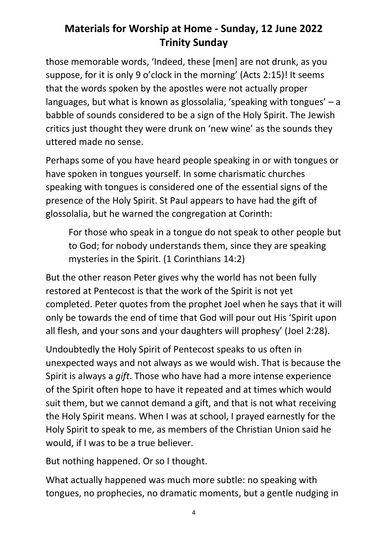those memorable words, 'Indeed, these [men] are not drunk, as you suppose, for it is only 9 o'clock in the morning' (Acts 2:15)! It seems that the words spoken by the apostles were not actually proper languages, but what is known as glossolalia, 'speaking with tongues' – a babble of sounds considered to be a sign of the Holy Spirit. The Jewish critics just thought they were drunk on 'new wine' as the sounds they uttered made no sense.

Perhaps some of you have heard people speaking in or with tongues or have spoken in tongues yourself. In some charismatic churches speaking with tongues is considered one of the essential signs of the presence of the Holy Spirit. St Paul appears to have had the gift of glossolalia, but he warned the congregation at Corinth:

For those who speak in a tongue do not speak to other people but to God; for nobody understands them, since they are speaking mysteries in the Spirit. (1 Corinthians 14:2)

But the other reason Peter gives why the world has not been fully restored at Pentecost is that the work of the Spirit is not yet completed. Peter quotes from the prophet Joel when he says that it will only be towards the end of time that God will pour out His 'Spirit upon all flesh, and your sons and your daughters will prophesy' (Joel 2:28).

Undoubtedly the Holy Spirit of Pentecost speaks to us often in unexpected ways and not always as we would wish. That is because the Spirit is always a *gift*. Those who have had a more intense experience of the Spirit often hope to have it repeated and at times which would suit them, but we cannot demand a gift, and that is not what receiving the Holy Spirit means. When I was at school, I prayed earnestly for the Holy Spirit to speak to me, as members of the Christian Union said he would, if I was to be a true believer.

But nothing happened. Or so I thought.

What actually happened was much more subtle: no speaking with tongues, no prophecies, no dramatic moments, but a gentle nudging in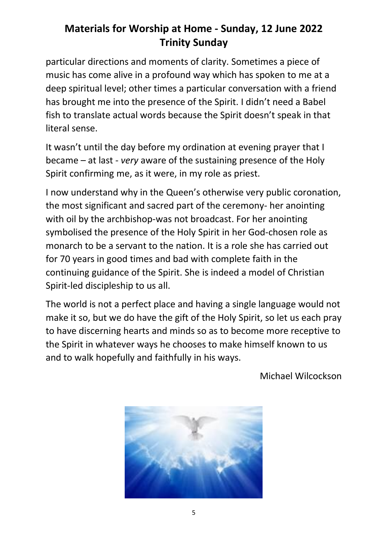particular directions and moments of clarity. Sometimes a piece of music has come alive in a profound way which has spoken to me at a deep spiritual level; other times a particular conversation with a friend has brought me into the presence of the Spirit. I didn't need a Babel fish to translate actual words because the Spirit doesn't speak in that literal sense.

It wasn't until the day before my ordination at evening prayer that I became – at last - *very* aware of the sustaining presence of the Holy Spirit confirming me, as it were, in my role as priest.

I now understand why in the Queen's otherwise very public coronation, the most significant and sacred part of the ceremony- her anointing with oil by the archbishop-was not broadcast. For her anointing symbolised the presence of the Holy Spirit in her God-chosen role as monarch to be a servant to the nation. It is a role she has carried out for 70 years in good times and bad with complete faith in the continuing guidance of the Spirit. She is indeed a model of Christian Spirit-led discipleship to us all.

The world is not a perfect place and having a single language would not make it so, but we do have the gift of the Holy Spirit, so let us each pray to have discerning hearts and minds so as to become more receptive to the Spirit in whatever ways he chooses to make himself known to us and to walk hopefully and faithfully in his ways.

Michael Wilcockson

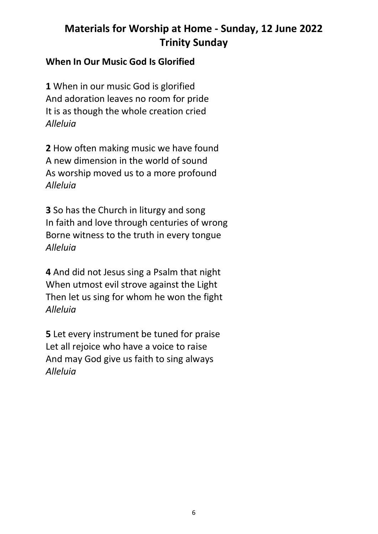#### **When In Our Music God Is Glorified**

**1** When in our music God is glorified And adoration leaves no room for pride It is as though the whole creation cried *Alleluia*

**2** How often making music we have found A new dimension in the world of sound As worship moved us to a more profound *Alleluia*

**3** So has the Church in liturgy and song In faith and love through centuries of wrong Borne witness to the truth in every tongue *Alleluia*

**4** And did not Jesus sing a Psalm that night When utmost evil strove against the Light Then let us sing for whom he won the fight *Alleluia*

**5** Let every instrument be tuned for praise Let all rejoice who have a voice to raise And may God give us faith to sing always *Alleluia*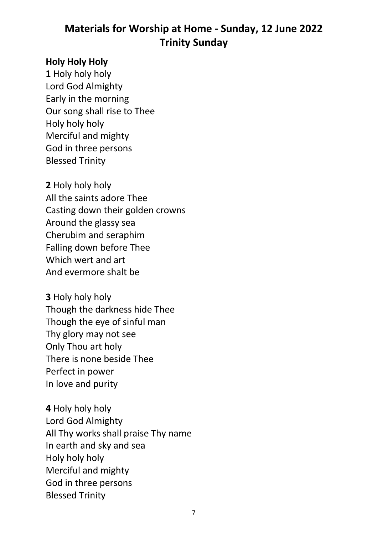#### **Holy Holy Holy**

**1** Holy holy holy Lord God Almighty Early in the morning Our song shall rise to Thee Holy holy holy Merciful and mighty God in three persons Blessed Trinity

**2** Holy holy holy All the saints adore Thee Casting down their golden crowns Around the glassy sea Cherubim and seraphim Falling down before Thee Which wert and art And evermore shalt be

**3** Holy holy holy Though the darkness hide Thee Though the eye of sinful man Thy glory may not see Only Thou art holy There is none beside Thee Perfect in power In love and purity

**4** Holy holy holy Lord God Almighty All Thy works shall praise Thy name In earth and sky and sea Holy holy holy Merciful and mighty God in three persons Blessed Trinity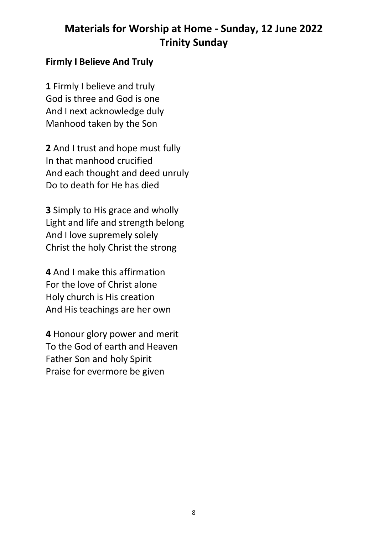#### **Firmly I Believe And Truly**

**1** Firmly I believe and truly God is three and God is one And I next acknowledge duly Manhood taken by the Son

**2** And I trust and hope must fully In that manhood crucified And each thought and deed unruly Do to death for He has died

**3** Simply to His grace and wholly Light and life and strength belong And I love supremely solely Christ the holy Christ the strong

**4** And I make this affirmation For the love of Christ alone Holy church is His creation And His teachings are her own

**4** Honour glory power and merit To the God of earth and Heaven Father Son and holy Spirit Praise for evermore be given